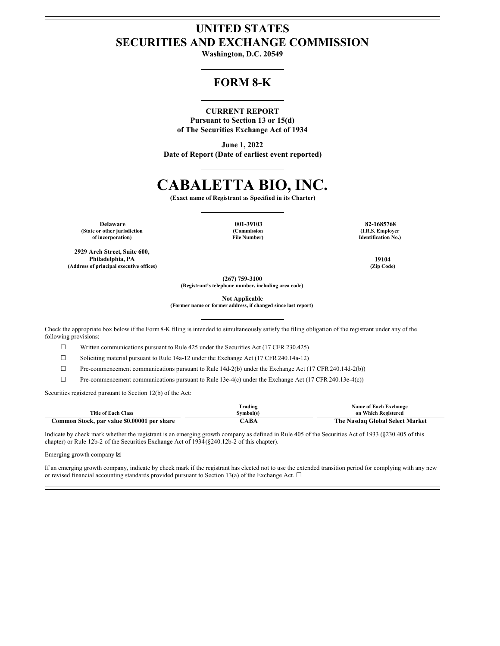## **UNITED STATES SECURITIES AND EXCHANGE COMMISSION**

**Washington, D.C. 20549**

### **FORM 8-K**

### **CURRENT REPORT**

**Pursuant to Section 13 or 15(d) of The Securities Exchange Act of 1934**

**June 1, 2022 Date of Report (Date of earliest event reported)**

# **CABALETTA BIO, INC.**

**(Exact name of Registrant as Specified in its Charter)**

**Delaware 001-39103 82-1685768 (State or other jurisdiction of incorporation)**

**2929 Arch Street, Suite 600, Philadelphia, PA 19104 (Address of principal executive offices) (Zip Code)**

**(Commission File Number)**

**(I.R.S. Employer Identification No.)**

**(267) 759-3100**

**(Registrant's telephone number, including area code)**

**Not Applicable**

**(Former name or former address, if changed since last report)**

Check the appropriate box below if the Form8-K filing is intended to simultaneously satisfy the filing obligation of the registrant under any of the following provisions:

☐ Written communications pursuant to Rule 425 under the Securities Act (17 CFR 230.425)

☐ Soliciting material pursuant to Rule 14a-12 under the Exchange Act (17 CFR 240.14a-12)

☐ Pre-commencement communications pursuant to Rule 14d-2(b) under the Exchange Act (17 CFR 240.14d-2(b))

 $\Box$  Pre-commencement communications pursuant to Rule 13e-4(c) under the Exchange Act (17 CFR 240.13e-4(c))

Securities registered pursuant to Section 12(b) of the Act:

|                                             | rading]   | <b>Name of Each Exchange</b>    |
|---------------------------------------------|-----------|---------------------------------|
| <b>Title of Each Class</b>                  | Symbol(s) | on Which Registered             |
| Common Stock, par value \$0.00001 per share | `ABA      | The Nasdaq Global Select Market |

Indicate by check mark whether the registrant is an emerging growth company as defined in Rule 405 of the Securities Act of 1933 (§230.405 of this chapter) or Rule 12b-2 of the Securities Exchange Act of 1934(§240.12b-2 of this chapter).

Emerging growth company  $\boxtimes$ 

If an emerging growth company, indicate by check mark if the registrant has elected not to use the extended transition period for complying with any new or revised financial accounting standards provided pursuant to Section 13(a) of the Exchange Act.  $\Box$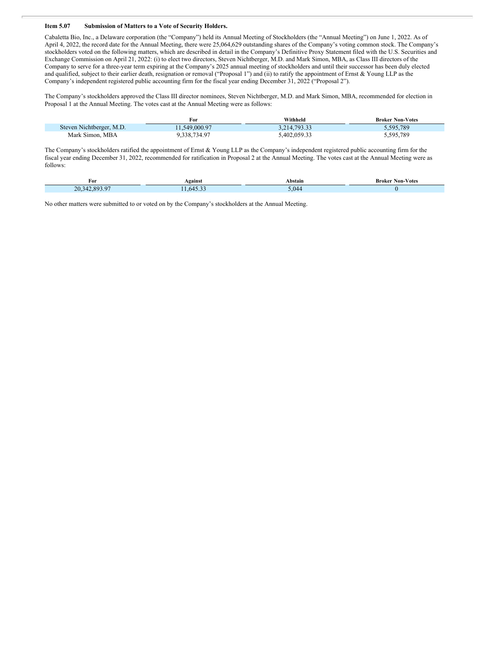#### **Item 5.07 Submission of Matters to a Vote of Security Holders.**

Cabaletta Bio, Inc., a Delaware corporation (the "Company") held its Annual Meeting of Stockholders (the "Annual Meeting") on June 1, 2022. As of April 4, 2022, the record date for the Annual Meeting, there were 25,064,629 outstanding shares of the Company's voting common stock. The Company's stockholders voted on the following matters, which are described in detail in the Company's Definitive Proxy Statement filed with the U.S. Securities and Exchange Commission on April 21, 2022: (i) to elect two directors, Steven Nichtberger, M.D. and Mark Simon, MBA, as Class III directors of the Company to serve for a three-year term expiring at the Company's 2025 annual meeting of stockholders and until their successor has been duly elected and qualified, subject to their earlier death, resignation or removal ("Proposal 1") and (ii) to ratify the appointment of Ernst & Young LLP as the Company's independent registered public accounting firm for the fiscal year ending December 31, 2022 ("Proposal 2").

The Company's stockholders approved the Class III director nominees, Steven Nichtberger, M.D. and Mark Simon, MBA, recommended for election in Proposal 1 at the Annual Meeting. The votes cast at the Annual Meeting were as follows:

|                          | For           | Withheld     | <b>Broker Non-Votes</b> |
|--------------------------|---------------|--------------|-------------------------|
| Steven Nichtberger, M.D. | 11.549.000.97 | 3.214.793.33 | 5.595.789               |
| Mark Simon, MBA          | 9.338.734.97  | 5.402.059.3? | 5,595,789               |

The Company's stockholders ratified the appointment of Ernst & Young LLP as the Company's independent registered public accounting firm for the fiscal year ending December 31, 2022, recommended for ratification in Proposal 2 at the Annual Meeting. The votes cast at the Annual Meeting were as follows:

| For | <b>Seainst</b> | ⊾bstain      | Votes<br>Non-<br>Broke |
|-----|----------------|--------------|------------------------|
| .   | $\sim$         | $\mathbf{1}$ |                        |

No other matters were submitted to or voted on by the Company's stockholders at the Annual Meeting.